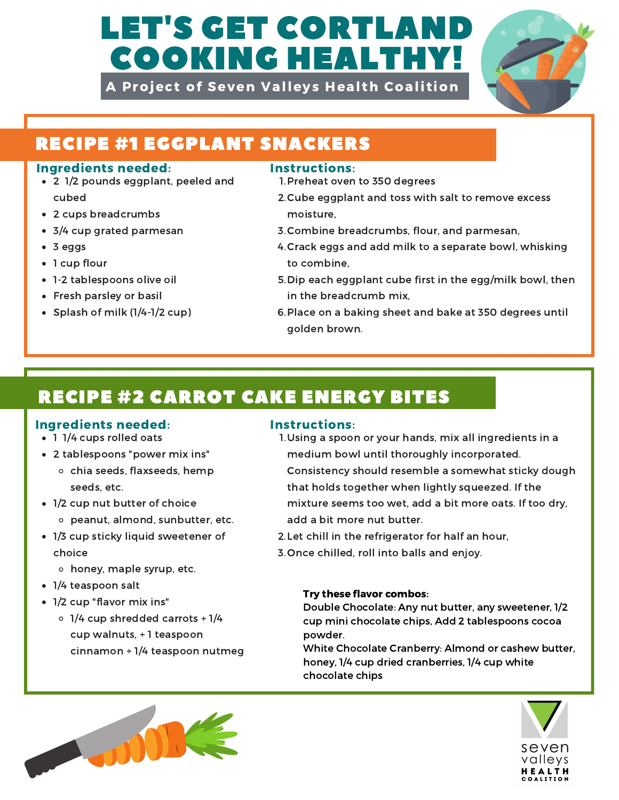# LET'S GET CORTLAN COOKING HEALTHY!

A Project of Seven Valleys Health Coalition



# RECIPE #1 EGGPLANT SNACKERS

### Ingredients needed: Instructions:

- 2 1/2 pounds eggplant, peeled and cubed
- 2 cups breadcrumbs
- 3/4 cup grated parmesan
- 3 eggs
- 1 cup flour
- 1-2 tablespoons olive oil
- Fresh parsley or basil
- Splash of milk (1/4-1/2 cup)

- 1. Preheat oven to 350 degrees
- 2. Cube eggplant and toss with salt to remove excess moisture,
- 3. Combine breadcrumbs, flour, and parmesan,
- 4. Crack eggs and add milk to a separate bowl, whisking to combine,
- 5. Dip each eggplant cube first in the egg/milk bowl, then in the breadcrumb mix,
- 6. Place on a baking sheet and bake at 350 degrees until golden brown.

# RECIPE #2 CARROT CAKE ENERGY BITES

## Ingredients needed: Instructions:

- 1 1/4 cups rolled oats
- 2 tablespoons "power mix ins"
	- o chia seeds, flaxseeds, hemp seeds, etc.
- 1/2 cup nut butter of choice
	- peanut, almond, sunbutter, etc.
- 1/3 cup sticky liquid sweetener of choice
	- honey, maple syrup, etc.
- 1/4 teaspoon salt
- 1/2 cup "flavor mix ins"
	- $\circ$  1/4 cup shredded carrots + 1/4 cup walnuts, + 1 teaspoon cinnamon + 1/4 teaspoon nutmeg



- 1. Using a spoon or your hands, mix all ingredients in a medium bowl until thoroughly incorporated. Consistency should resemble a somewhat sticky dough that holds together when lightly squeezed. If the mixture seems too wet, add a bit more oats. If too dry, add a bit more nut butter.
- 2. Let chill in the refrigerator for half an hour,
- 3. Once chilled, roll into balls and enjoy.

### Try these flavor combos:

Double Chocolate: Any nut butter, any sweetener, 1/2 cup mini chocolate chips, Add 2 tablespoons cocoa powder.

White Chocolate Cranberry: Almond or cashew butter, honey, 1/4 cup dried cranberries, 1/4 cup white chocolate chips